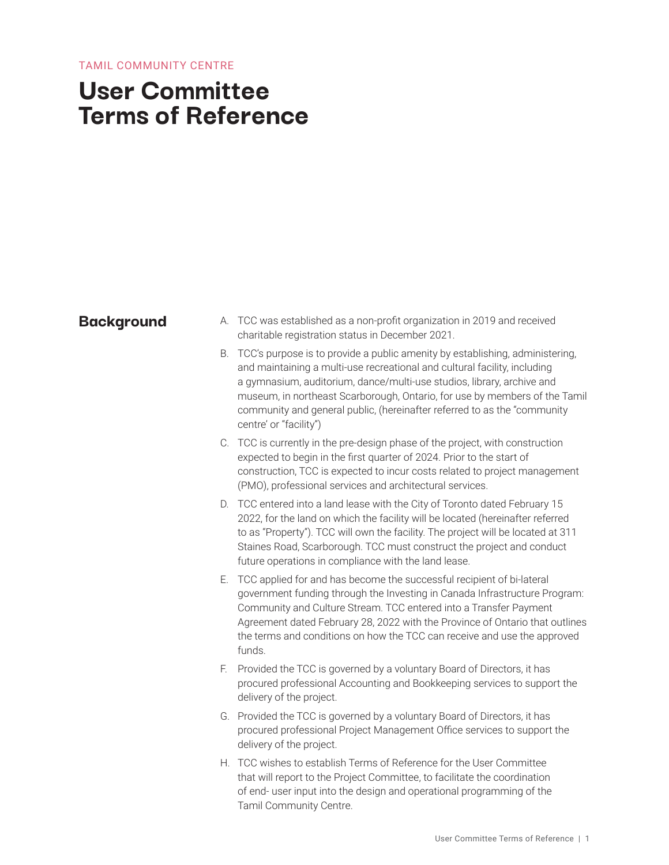# **User Committee Terms of Reference**

- **Background** A. TCC was established as a non-profit organization in 2019 and received charitable registration status in December 2021.
	- B. TCC's purpose is to provide a public amenity by establishing, administering, and maintaining a multi-use recreational and cultural facility, including a gymnasium, auditorium, dance/multi-use studios, library, archive and museum, in northeast Scarborough, Ontario, for use by members of the Tamil community and general public, (hereinafter referred to as the "community centre' or "facility")
	- C. TCC is currently in the pre-design phase of the project, with construction expected to begin in the first quarter of 2024. Prior to the start of construction, TCC is expected to incur costs related to project management (PMO), professional services and architectural services.
	- D. TCC entered into a land lease with the City of Toronto dated February 15 2022, for the land on which the facility will be located (hereinafter referred to as "Property"). TCC will own the facility. The project will be located at 311 Staines Road, Scarborough. TCC must construct the project and conduct future operations in compliance with the land lease.
	- E. TCC applied for and has become the successful recipient of bi-lateral government funding through the Investing in Canada Infrastructure Program: Community and Culture Stream. TCC entered into a Transfer Payment Agreement dated February 28, 2022 with the Province of Ontario that outlines the terms and conditions on how the TCC can receive and use the approved funds.
	- F. Provided the TCC is governed by a voluntary Board of Directors, it has procured professional Accounting and Bookkeeping services to support the delivery of the project.
	- G. Provided the TCC is governed by a voluntary Board of Directors, it has procured professional Project Management Office services to support the delivery of the project.
	- H. TCC wishes to establish Terms of Reference for the User Committee that will report to the Project Committee, to facilitate the coordination of end- user input into the design and operational programming of the Tamil Community Centre.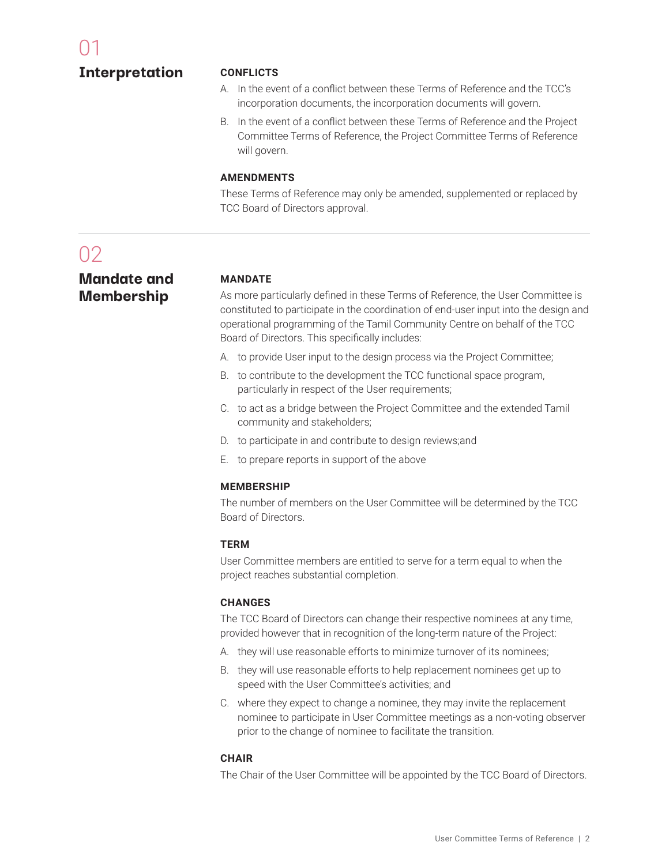#### **Interpretation**

#### **CONFLICTS**

- A. In the event of a conflict between these Terms of Reference and the TCC's incorporation documents, the incorporation documents will govern.
- B. In the event of a conflict between these Terms of Reference and the Project Committee Terms of Reference, the Project Committee Terms of Reference will govern.

#### **AMENDMENTS**

These Terms of Reference may only be amended, supplemented or replaced by TCC Board of Directors approval.

## 02

### **Mandate and Membership**

#### **MANDATE**

As more particularly defined in these Terms of Reference, the User Committee is constituted to participate in the coordination of end-user input into the design and operational programming of the Tamil Community Centre on behalf of the TCC Board of Directors. This specifically includes:

- A. to provide User input to the design process via the Project Committee;
- B. to contribute to the development the TCC functional space program, particularly in respect of the User requirements;
- C. to act as a bridge between the Project Committee and the extended Tamil community and stakeholders;
- D. to participate in and contribute to design reviews;and
- E. to prepare reports in support of the above

#### **MEMBERSHIP**

The number of members on the User Committee will be determined by the TCC Board of Directors.

#### **TERM**

User Committee members are entitled to serve for a term equal to when the project reaches substantial completion.

#### **CHANGES**

The TCC Board of Directors can change their respective nominees at any time, provided however that in recognition of the long-term nature of the Project:

- A. they will use reasonable efforts to minimize turnover of its nominees;
- B. they will use reasonable efforts to help replacement nominees get up to speed with the User Committee's activities; and
- C. where they expect to change a nominee, they may invite the replacement nominee to participate in User Committee meetings as a non-voting observer prior to the change of nominee to facilitate the transition.

#### **CHAIR**

The Chair of the User Committee will be appointed by the TCC Board of Directors.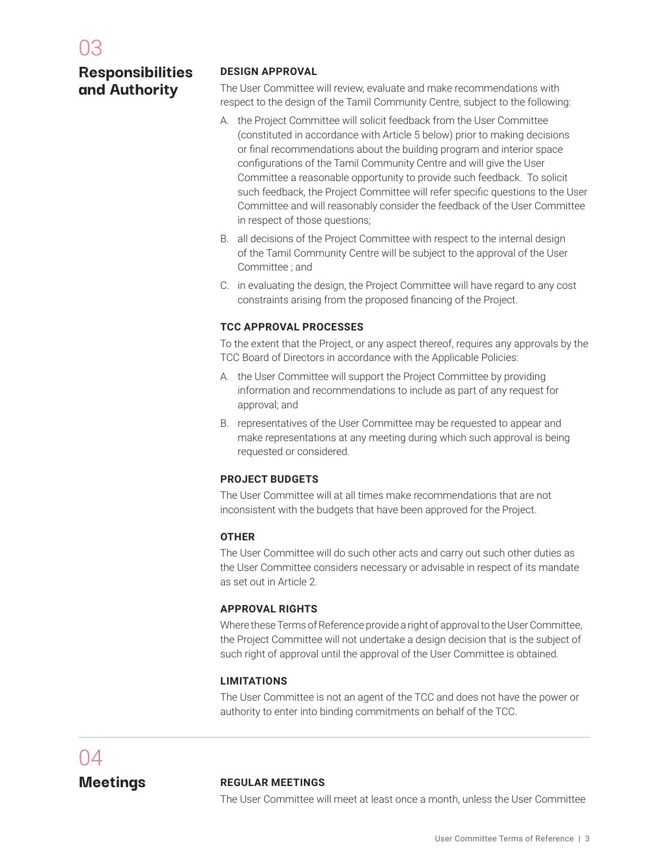### **Responsibilities and Authority**

#### **DESIGN APPROVAL**

The User Committee will review, evaluate and make recommendations with respect to the design of the Tamil Community Centre, subject to the following:

- A. the Project Committee will solicit feedback from the User Committee (constituted in accordance with Article 5 below) prior to making decisions or final recommendations about the building program and interior space configurations of the Tamil Community Centre and will give the User Committee a reasonable opportunity to provide such feedback. To solicit such feedback, the Project Committee will refer specific questions to the User Committee and will reasonably consider the feedback of the User Committee in respect of those questions;
- B. all decisions of the Project Committee with respect to the internal design of the Tamil Community Centre will be subject to the approval of the User Committee ; and
- C. in evaluating the design, the Project Committee will have regard to any cost constraints arising from the proposed financing of the Project.

#### **TCC APPROVAL PROCESSES**

To the extent that the Project, or any aspect thereof, requires any approvals by the TCC Board of Directors in accordance with the Applicable Policies:

- A. the User Committee will support the Project Committee by providing information and recommendations to include as part of any request for approval; and
- B. representatives of the User Committee may be requested to appear and make representations at any meeting during which such approval is being requested or considered.

#### **PROJECT BUDGETS**

The User Committee will at all times make recommendations that are not inconsistent with the budgets that have been approved for the Project.

#### **OTHER**

The User Committee will do such other acts and carry out such other duties as the User Committee considers necessary or advisable in respect of its mandate as set out in Article 2.

#### **APPROVAL RIGHTS**

Where these Terms of Reference provide a right of approval to the User Committee, the Project Committee will not undertake a design decision that is the subject of such right of approval until the approval of the User Committee is obtained.

#### **LIMITATIONS**

The User Committee is not an agent of the TCC and does not have the power or authority to enter into binding commitments on behalf of the TCC.

# 04

#### **Meetings REGULAR MEETINGS**

The User Committee will meet at least once a month, unless the User Committee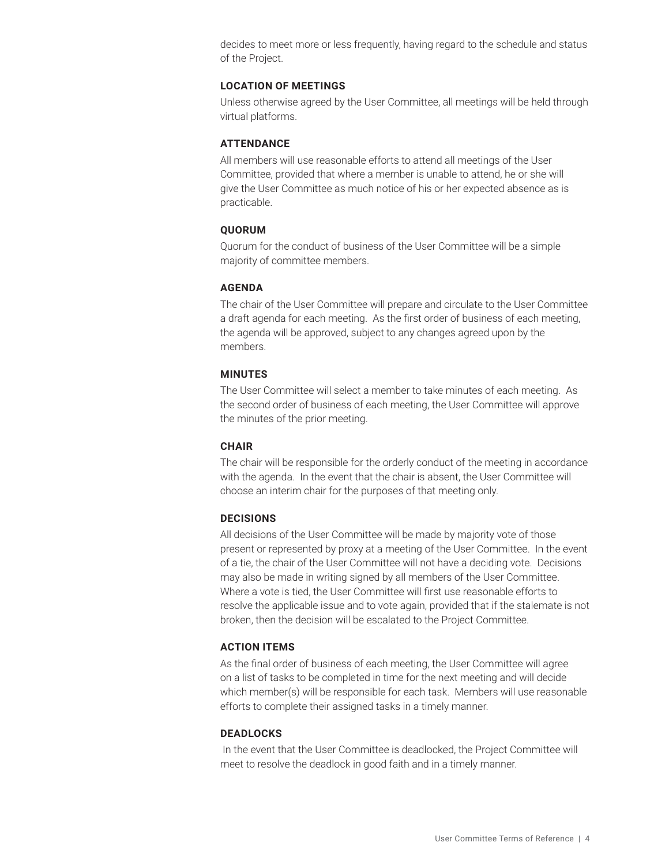decides to meet more or less frequently, having regard to the schedule and status of the Project.

#### **LOCATION OF MEETINGS**

Unless otherwise agreed by the User Committee, all meetings will be held through virtual platforms.

#### **ATTENDANCE**

All members will use reasonable efforts to attend all meetings of the User Committee, provided that where a member is unable to attend, he or she will give the User Committee as much notice of his or her expected absence as is practicable.

#### **QUORUM**

Quorum for the conduct of business of the User Committee will be a simple majority of committee members.

#### **AGENDA**

The chair of the User Committee will prepare and circulate to the User Committee a draft agenda for each meeting. As the first order of business of each meeting, the agenda will be approved, subject to any changes agreed upon by the members.

#### **MINUTES**

The User Committee will select a member to take minutes of each meeting. As the second order of business of each meeting, the User Committee will approve the minutes of the prior meeting.

#### **CHAIR**

The chair will be responsible for the orderly conduct of the meeting in accordance with the agenda. In the event that the chair is absent, the User Committee will choose an interim chair for the purposes of that meeting only.

#### **DECISIONS**

All decisions of the User Committee will be made by majority vote of those present or represented by proxy at a meeting of the User Committee. In the event of a tie, the chair of the User Committee will not have a deciding vote. Decisions may also be made in writing signed by all members of the User Committee. Where a vote is tied, the User Committee will first use reasonable efforts to resolve the applicable issue and to vote again, provided that if the stalemate is not broken, then the decision will be escalated to the Project Committee.

#### **ACTION ITEMS**

As the final order of business of each meeting, the User Committee will agree on a list of tasks to be completed in time for the next meeting and will decide which member(s) will be responsible for each task. Members will use reasonable efforts to complete their assigned tasks in a timely manner.

#### **DEADLOCKS**

In the event that the User Committee is deadlocked, the Project Committee will meet to resolve the deadlock in good faith and in a timely manner.